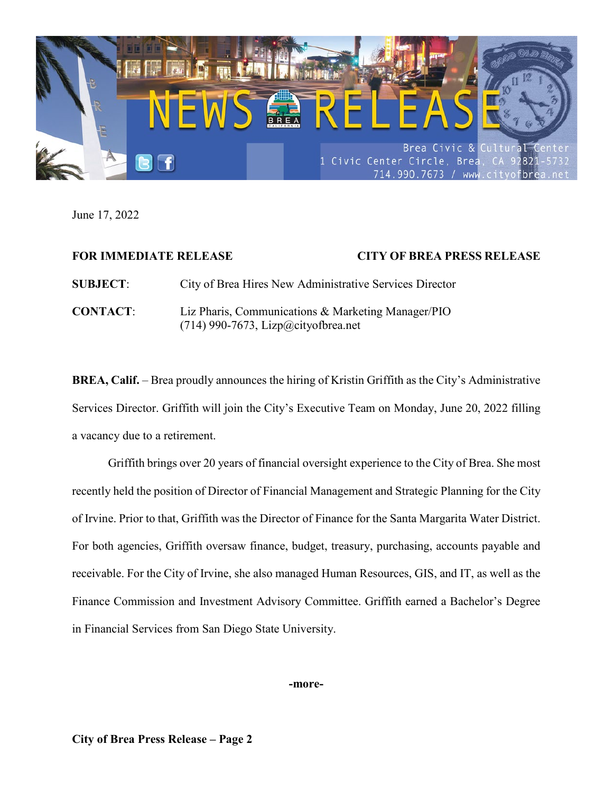

June 17, 2022

| <b>FOR IMMEDIATE RELEASE</b> |                                                                                             | <b>CITY OF BREA PRESS RELEASE</b> |
|------------------------------|---------------------------------------------------------------------------------------------|-----------------------------------|
| <b>SUBJECT:</b>              | City of Brea Hires New Administrative Services Director                                     |                                   |
| <b>CONTACT:</b>              | Liz Pharis, Communications & Marketing Manager/PIO<br>$(714)$ 990-7673, Lizp@cityofbrea.net |                                   |

**BREA, Calif.** – Brea proudly announces the hiring of Kristin Griffith as the City's Administrative Services Director. Griffith will join the City's Executive Team on Monday, June 20, 2022 filling a vacancy due to a retirement.

Griffith brings over 20 years of financial oversight experience to the City of Brea. She most recently held the position of Director of Financial Management and Strategic Planning for the City of Irvine. Prior to that, Griffith was the Director of Finance for the Santa Margarita Water District. For both agencies, Griffith oversaw finance, budget, treasury, purchasing, accounts payable and receivable. For the City of Irvine, she also managed Human Resources, GIS, and IT, as well as the Finance Commission and Investment Advisory Committee. Griffith earned a Bachelor's Degree in Financial Services from San Diego State University.

**-more-**